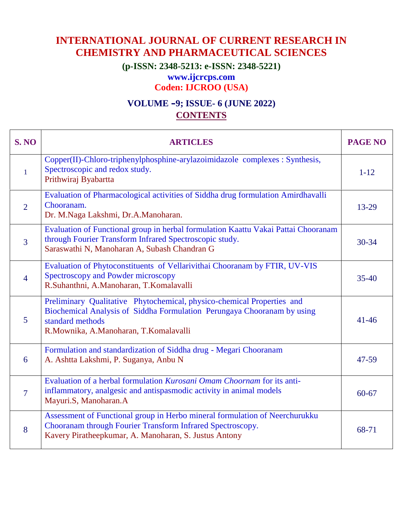## **INTERNATIONAL JOURNAL OF CURRENT RESEARCH IN CHEMISTRY AND PHARMACEUTICAL SCIENCES**

**(p-ISSN: 2348-5213: e-ISSN: 2348-5221)**

## **www.ijcrcps.com**

**Coden: IJCROO (USA)**

## **VOLUME –9; ISSUE- 6 (JUNE 2022) CONTENTS**

| <b>S. NO</b>   | <b>ARTICLES</b>                                                                                                                                                                                                | <b>PAGE NO</b> |
|----------------|----------------------------------------------------------------------------------------------------------------------------------------------------------------------------------------------------------------|----------------|
| $\mathbf{1}$   | Copper(II)-Chloro-triphenylphosphine-arylazoimidazole complexes : Synthesis,<br>Spectroscopic and redox study.<br>Prithwiraj Byabartta                                                                         | $1 - 12$       |
| 2              | Evaluation of Pharmacological activities of Siddha drug formulation Amirdhavalli<br>Chooranam.<br>Dr. M.Naga Lakshmi, Dr.A.Manoharan.                                                                          | 13-29          |
| 3              | Evaluation of Functional group in herbal formulation Kaattu Vakai Pattai Chooranam<br>through Fourier Transform Infrared Spectroscopic study.<br>Saraswathi N, Manoharan A, Subash Chandran G                  | $30 - 34$      |
| $\overline{4}$ | Evaluation of Phytoconstituents of Vellarivithai Chooranam by FTIR, UV-VIS<br>Spectroscopy and Powder microscopy<br>R.Suhanthni, A.Manoharan, T.Komalavalli                                                    | $35 - 40$      |
| 5              | Preliminary Qualitative Phytochemical, physico-chemical Properties and<br>Biochemical Analysis of Siddha Formulation Perungaya Chooranam by using<br>standard methods<br>R.Mownika, A.Manoharan, T.Komalavalli | $41 - 46$      |
| 6              | Formulation and standardization of Siddha drug - Megari Chooranam<br>A. Ashtta Lakshmi, P. Suganya, Anbu N                                                                                                     | 47-59          |
| $\overline{7}$ | Evaluation of a herbal formulation Kurosani Omam Choornam for its anti-<br>inflammatory, analgesic and antispasmodic activity in animal models<br>Mayuri.S, Manoharan.A                                        | $60 - 67$      |
| 8              | Assessment of Functional group in Herbo mineral formulation of Neerchurukku<br>Chooranam through Fourier Transform Infrared Spectroscopy.<br>Kavery Piratheepkumar, A. Manoharan, S. Justus Antony             | 68-71          |